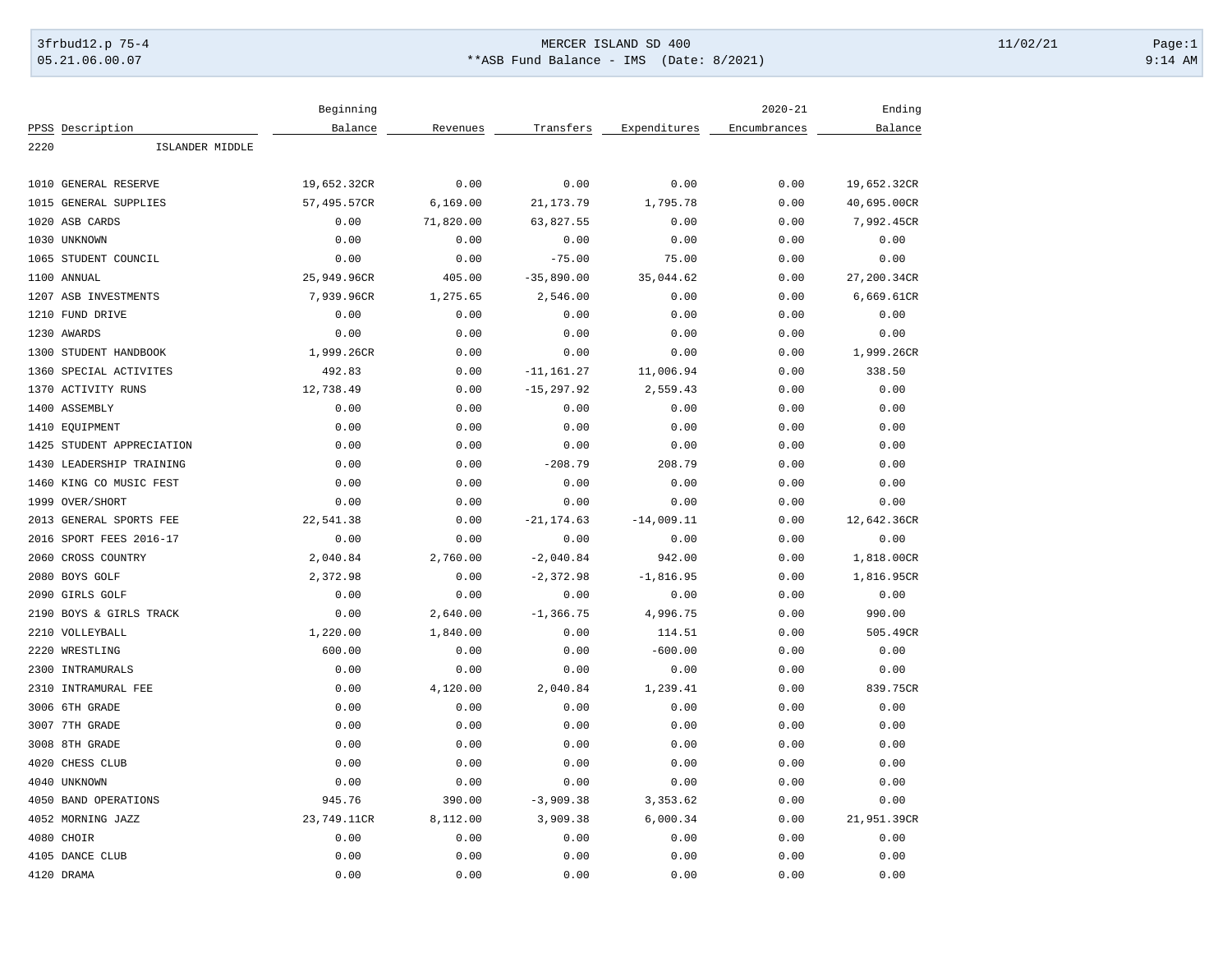## 3frbud12.p 75-4 Page:1 Page:1 05.21.06.00.07 \*\*ASB Fund Balance - IMS (Date: 8/2021) 9:14 AM

|      |                           | Beginning   |           |               |              | $2020 - 21$  | Ending      |
|------|---------------------------|-------------|-----------|---------------|--------------|--------------|-------------|
|      | PPSS Description          | Balance     | Revenues  | Transfers     | Expenditures | Encumbrances | Balance     |
| 2220 | ISLANDER MIDDLE           |             |           |               |              |              |             |
|      |                           |             |           |               |              |              |             |
|      | 1010 GENERAL RESERVE      | 19,652.32CR | 0.00      | 0.00          | 0.00         | 0.00         | 19,652.32CR |
| 1015 | GENERAL SUPPLIES          | 57,495.57CR | 6, 169.00 | 21, 173. 79   | 1,795.78     | 0.00         | 40,695.00CR |
|      | 1020 ASB CARDS            | 0.00        | 71,820.00 | 63,827.55     | 0.00         | 0.00         | 7,992.45CR  |
|      | 1030 UNKNOWN              | 0.00        | 0.00      | 0.00          | 0.00         | 0.00         | 0.00        |
|      | 1065 STUDENT COUNCIL      | 0.00        | 0.00      | $-75.00$      | 75.00        | 0.00         | 0.00        |
|      | 1100 ANNUAL               | 25,949.96CR | 405.00    | $-35,890.00$  | 35,044.62    | 0.00         | 27,200.34CR |
|      | 1207 ASB INVESTMENTS      | 7,939.96CR  | 1,275.65  | 2,546.00      | 0.00         | 0.00         | 6,669.61CR  |
|      | 1210 FUND DRIVE           | 0.00        | 0.00      | 0.00          | 0.00         | 0.00         | 0.00        |
|      | 1230 AWARDS               | 0.00        | 0.00      | 0.00          | 0.00         | 0.00         | 0.00        |
|      | 1300 STUDENT HANDBOOK     | 1,999.26CR  | 0.00      | 0.00          | 0.00         | 0.00         | 1,999.26CR  |
| 1360 | SPECIAL ACTIVITES         | 492.83      | 0.00      | $-11, 161.27$ | 11,006.94    | 0.00         | 338.50      |
| 1370 | <b>ACTIVITY RUNS</b>      | 12,738.49   | 0.00      | $-15, 297.92$ | 2,559.43     | 0.00         | 0.00        |
|      | 1400 ASSEMBLY             | 0.00        | 0.00      | 0.00          | 0.00         | 0.00         | 0.00        |
|      | 1410 EQUIPMENT            | 0.00        | 0.00      | 0.00          | 0.00         | 0.00         | 0.00        |
|      | 1425 STUDENT APPRECIATION | 0.00        | 0.00      | 0.00          | 0.00         | 0.00         | 0.00        |
|      | 1430 LEADERSHIP TRAINING  | 0.00        | 0.00      | $-208.79$     | 208.79       | 0.00         | 0.00        |
| 1460 | KING CO MUSIC FEST        | 0.00        | 0.00      | 0.00          | 0.00         | 0.00         | 0.00        |
|      | 1999 OVER/SHORT           | 0.00        | 0.00      | 0.00          | 0.00         | 0.00         | 0.00        |
|      | 2013 GENERAL SPORTS FEE   | 22,541.38   | 0.00      | $-21, 174.63$ | $-14,009.11$ | 0.00         | 12,642.36CR |
| 2016 | SPORT FEES 2016-17        | 0.00        | 0.00      | 0.00          | 0.00         | 0.00         | 0.00        |
| 2060 | CROSS COUNTRY             | 2,040.84    | 2,760.00  | $-2,040.84$   | 942.00       | 0.00         | 1,818.00CR  |
|      | 2080 BOYS GOLF            | 2,372.98    | 0.00      | $-2,372.98$   | $-1,816.95$  | 0.00         | 1,816.95CR  |
|      | 2090 GIRLS GOLF           | 0.00        | 0.00      | 0.00          | 0.00         | 0.00         | 0.00        |
|      | 2190 BOYS & GIRLS TRACK   | 0.00        | 2,640.00  | $-1, 366.75$  | 4,996.75     | 0.00         | 990.00      |
| 2210 | VOLLEYBALL                | 1,220.00    | 1,840.00  | 0.00          | 114.51       | 0.00         | 505.49CR    |
| 2220 | WRESTLING                 | 600.00      | 0.00      | 0.00          | $-600.00$    | 0.00         | 0.00        |
| 2300 | INTRAMURALS               | 0.00        | 0.00      | 0.00          | 0.00         | 0.00         | 0.00        |
| 2310 | INTRAMURAL FEE            | 0.00        | 4,120.00  | 2,040.84      | 1,239.41     | 0.00         | 839.75CR    |
|      | 3006 6TH GRADE            | 0.00        | 0.00      | 0.00          | 0.00         | 0.00         | 0.00        |
|      | 3007 7TH GRADE            | 0.00        | 0.00      | 0.00          | 0.00         | 0.00         | 0.00        |
| 3008 | 8TH GRADE                 | 0.00        | 0.00      | 0.00          | 0.00         | 0.00         | 0.00        |
|      | 4020 CHESS CLUB           | 0.00        | 0.00      | 0.00          | 0.00         | 0.00         | 0.00        |
|      | 4040 UNKNOWN              | 0.00        | 0.00      | 0.00          | 0.00         | 0.00         | 0.00        |
|      | 4050 BAND OPERATIONS      | 945.76      | 390.00    | $-3,909.38$   | 3,353.62     | 0.00         | 0.00        |
|      | 4052 MORNING JAZZ         | 23,749.11CR | 8,112.00  | 3,909.38      | 6,000.34     | 0.00         | 21,951.39CR |
|      | 4080 CHOIR                | 0.00        | 0.00      | 0.00          | 0.00         | 0.00         | 0.00        |
|      | 4105 DANCE CLUB           | 0.00        | 0.00      | 0.00          | 0.00         | 0.00         | 0.00        |
|      | 4120 DRAMA                | 0.00        | 0.00      | 0.00          | 0.00         | 0.00         | 0.00        |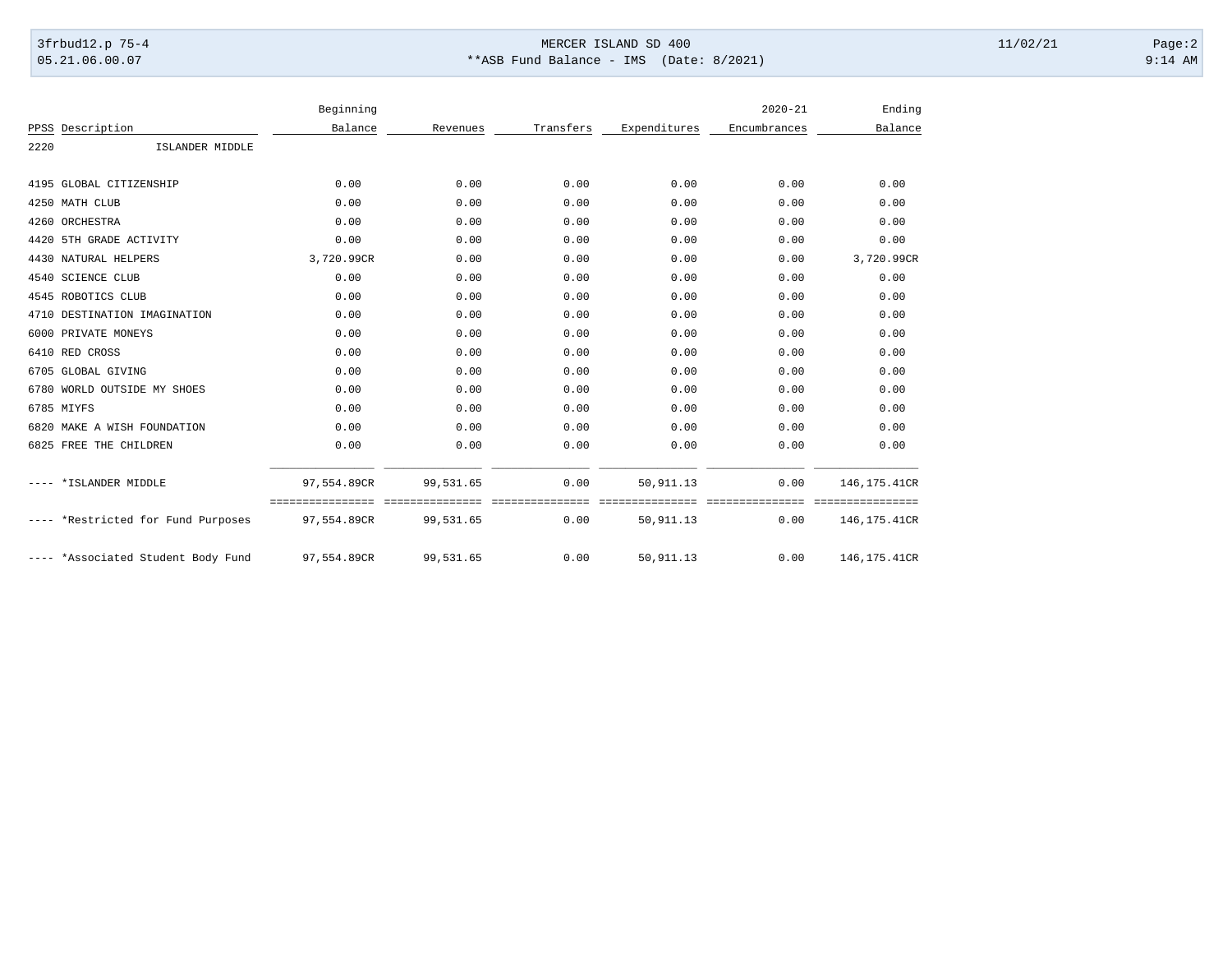## 3frbud12.p 75-4 Page:2 05.21.06.00.07 \*\*ASB Fund Balance - IMS (Date: 8/2021) 9:14 AM

|       |                               | Beginning   |                           |                             |              | $2020 - 21$             | Ending                           |
|-------|-------------------------------|-------------|---------------------------|-----------------------------|--------------|-------------------------|----------------------------------|
| PPSS  | Description                   | Balance     | Revenues                  | Transfers                   | Expenditures | Encumbrances            | Balance                          |
| 2220  | ISLANDER MIDDLE               |             |                           |                             |              |                         |                                  |
|       |                               |             |                           |                             |              |                         |                                  |
|       | 4195 GLOBAL CITIZENSHIP       | 0.00        | 0.00                      | 0.00                        | 0.00         | 0.00                    | 0.00                             |
|       | 4250 MATH CLUB                | 0.00        | 0.00                      | 0.00                        | 0.00         | 0.00                    | 0.00                             |
| 4260  | ORCHESTRA                     | 0.00        | 0.00                      | 0.00                        | 0.00         | 0.00                    | 0.00                             |
| 4420  | 5TH GRADE ACTIVITY            | 0.00        | 0.00                      | 0.00                        | 0.00         | 0.00                    | 0.00                             |
| 4430  | NATURAL HELPERS               | 3,720.99CR  | 0.00                      | 0.00                        | 0.00         | 0.00                    | 3,720.99CR                       |
|       | 4540 SCIENCE CLUB             | 0.00        | 0.00                      | 0.00                        | 0.00         | 0.00                    | 0.00                             |
| 4545  | ROBOTICS CLUB                 | 0.00        | 0.00                      | 0.00                        | 0.00         | 0.00                    | 0.00                             |
| 4710  | DESTINATION IMAGINATION       | 0.00        | 0.00                      | 0.00                        | 0.00         | 0.00                    | 0.00                             |
| 6000  | PRIVATE MONEYS                | 0.00        | 0.00                      | 0.00                        | 0.00         | 0.00                    | 0.00                             |
|       | 6410 RED CROSS                | 0.00        | 0.00                      | 0.00                        | 0.00         | 0.00                    | 0.00                             |
| 6705  | GLOBAL GIVING                 | 0.00        | 0.00                      | 0.00                        | 0.00         | 0.00                    | 0.00                             |
| 6780  | WORLD OUTSIDE MY SHOES        | 0.00        | 0.00                      | 0.00                        | 0.00         | 0.00                    | 0.00                             |
|       | 6785 MIYFS                    | 0.00        | 0.00                      | 0.00                        | 0.00         | 0.00                    | 0.00                             |
| 6820  | MAKE A WISH FOUNDATION        | 0.00        | 0.00                      | 0.00                        | 0.00         | 0.00                    | 0.00                             |
| 6825  | FREE THE CHILDREN             | 0.00        | 0.00                      | 0.00                        | 0.00         | 0.00                    | 0.00                             |
|       | *ISLANDER MIDDLE              | 97,554.89CR | 99,531.65                 | 0.00                        | 50, 911.13   | 0.00                    | 146, 175.41CR                    |
|       | *Restricted for Fund Purposes | 97,554.89CR | ============<br>99,531.65 | ==========<br>=====<br>0.00 | 50, 911.13   | ===============<br>0.00 | ================<br>146,175.41CR |
| $---$ | *Associated Student Body Fund | 97,554.89CR | 99,531.65                 | 0.00                        | 50, 911.13   | 0.00                    | 146, 175.41CR                    |